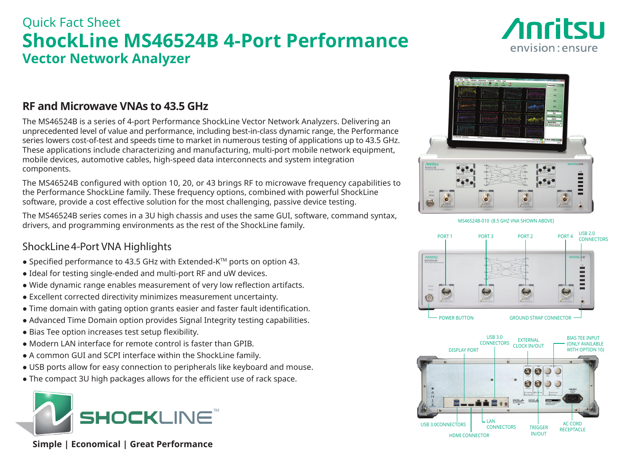## Quick Fact Sheet **ShockLine MS46524B 4-Port Performance Vector Network Analyzer**



## **RF and Microwave VNAs to 43.5 GHz**

The MS46524B is a series of 4-port Performance ShockLine Vector Network Analyzers. Delivering an unprecedented level of value and performance, including best-in-class dynamic range, the Performance series lowers cost-of-test and speeds time to market in numerous testing of applications up to 43.5 GHz. These applications include characterizing and manufacturing, multi-port mobile network equipment, mobile devices, automotive cables, high-speed data interconnects and system integration components.

The MS46524B configured with option 10, 20, or 43 brings RF to microwave frequency capabilities to the Performance ShockLine family. These frequency options, combined with powerful ShockLine software, provide a cost effective solution for the most challenging, passive device testing.

The MS46524B series comes in a 3U high chassis and uses the same GUI, software, command syntax, drivers, and programming environments as the rest of the ShockLine family.

### ShockLine4-Port VNA Highlights

- Specified performance to 43.5 GHz with Extended-K<sup>TM</sup> ports on option 43.
- Ideal for testing single-ended and multi-port RF and uW devices.
- Wide dynamic range enables measurement of very low reflection artifacts.
- Excellent corrected directivity minimizes measurement uncertainty.
- Time domain with gating option grants easier and faster fault identification.
- Advanced Time Domain option provides Signal Integrity testing capabilities.
- Bias Tee option increases test setup flexibility.
- Modern LAN interface for remote control is faster than GPIB.
- A common GUI and SCPI interface within the ShockLine family.
- USB ports allow for easy connection to peripherals like keyboard and mouse.
- The compact 3U high packages allows for the efficient use of rack space.



 **Simple | Economical | Great Performance**



MS46524B-010 (8.5 GHZ VNA SHOWN ABOVE)